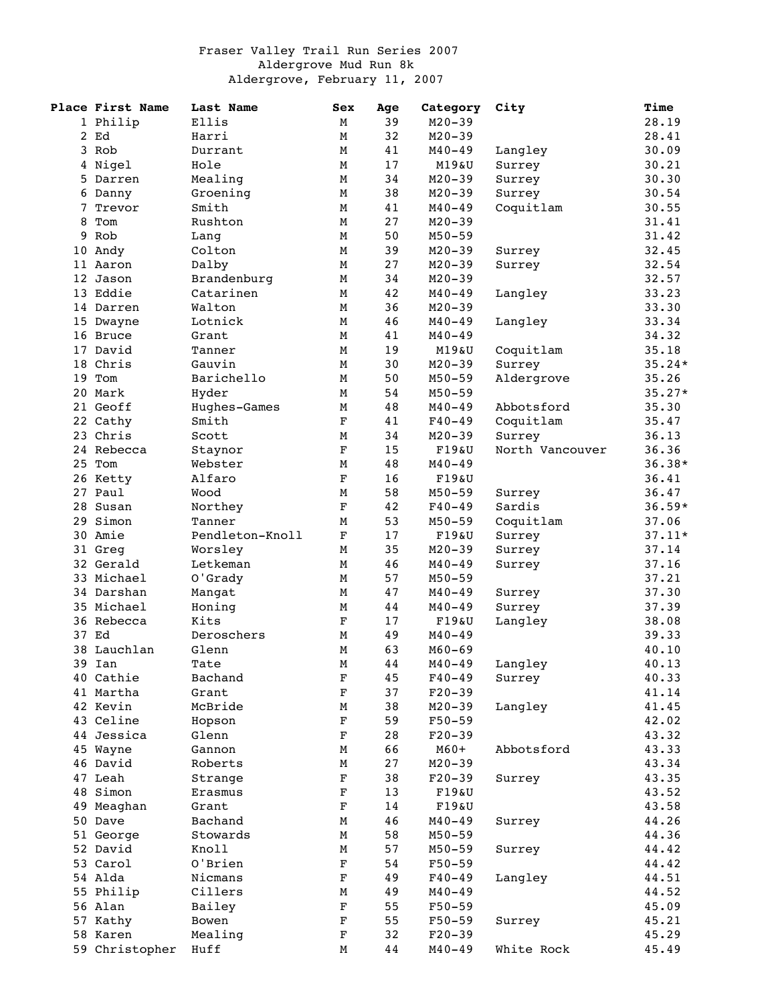## Fraser Valley Trail Run Series 2007 Aldergrove Mud Run 8k Aldergrove, February 11, 2007

|   | Place First Name | Last Name       | Sex         | Age | Category   | City            | Time     |
|---|------------------|-----------------|-------------|-----|------------|-----------------|----------|
|   | 1 Philip         | Ellis           | М           | 39  | $M20 - 39$ |                 | 28.19    |
|   | 2 Ed             | Harri           | M           | 32  | $M20 - 39$ |                 | 28.41    |
|   | 3 Rob            | Durrant         | М           | 41  | M40-49     | Langley         | 30.09    |
|   | 4 Nigel          | Hole            | М           | 17  | M19&U      | Surrey          | 30.21    |
|   | 5 Darren         | Mealing         | М           | 34  | $M20 - 39$ | Surrey          | 30.30    |
|   | 6 Danny          | Groening        | М           | 38  | $M20 - 39$ | Surrey          | 30.54    |
| 7 | Trevor           | Smith           | М           | 41  | $M40 - 49$ | Coquitlam       | 30.55    |
| 8 | Tom              | Rushton         | М           | 27  | $M20 - 39$ |                 | 31.41    |
|   | 9 Rob            | Lang            | М           | 50  | $M50 - 59$ |                 | 31.42    |
|   | 10 Andy          | Colton          | М           | 39  | $M20 - 39$ |                 | 32.45    |
|   |                  |                 |             |     |            | Surrey          |          |
|   | 11 Aaron         | Dalby           | М           | 27  | $M20 - 39$ | Surrey          | 32.54    |
|   | 12 Jason         | Brandenburg     | М           | 34  | $M20 - 39$ |                 | 32.57    |
|   | 13 Eddie         | Catarinen       | М           | 42  | $M40 - 49$ | Langley         | 33.23    |
|   | 14 Darren        | Walton          | М           | 36  | $M20 - 39$ |                 | 33.30    |
|   | 15 Dwayne        | Lotnick         | М           | 46  | $M40 - 49$ | Langley         | 33.34    |
|   | 16 Bruce         | Grant           | М           | 41  | $M40 - 49$ |                 | 34.32    |
|   | 17 David         | Tanner          | М           | 19  | M19&U      | Coquitlam       | 35.18    |
|   | 18 Chris         | Gauvin          | М           | 30  | $M20 - 39$ | Surrey          | $35.24*$ |
|   | 19 Tom           | Barichello      | М           | 50  | $M50 - 59$ | Aldergrove      | 35.26    |
|   | 20 Mark          | Hyder           | M           | 54  | $M50 - 59$ |                 | $35.27*$ |
|   | 21 Geoff         | Hughes-Games    | М           | 48  | $M40 - 49$ | Abbotsford      | 35.30    |
|   | 22 Cathy         | Smith           | $\mathbf F$ | 41  | $F40 - 49$ | Coquitlam       | 35.47    |
|   | 23 Chris         | Scott           | М           | 34  | $M20 - 39$ | Surrey          | 36.13    |
|   | 24 Rebecca       | Staynor         | $\mathbf F$ | 15  | F19&U      | North Vancouver | 36.36    |
|   | 25 Tom           | Webster         | М           | 48  | $M40 - 49$ |                 | $36.38*$ |
|   |                  |                 |             |     |            |                 |          |
|   | 26 Ketty         | Alfaro          | $\mathbf F$ | 16  | F19&U      |                 | 36.41    |
|   | 27 Paul          | Wood            | М           | 58  | $M50 - 59$ | Surrey          | 36.47    |
|   | 28 Susan         | Northey         | $\mathbf F$ | 42  | $F40 - 49$ | Sardis          | $36.59*$ |
|   | 29 Simon         | Tanner          | М           | 53  | $M50 - 59$ | Coquitlam       | 37.06    |
|   | 30 Amie          | Pendleton-Knoll | $\mathbf F$ | 17  | F19&U      | Surrey          | $37.11*$ |
|   | 31 Greg          | Worsley         | М           | 35  | $M20 - 39$ | Surrey          | 37.14    |
|   | 32 Gerald        | Letkeman        | М           | 46  | $M40 - 49$ | Surrey          | 37.16    |
|   | 33 Michael       | O'Grady         | М           | 57  | $M50 - 59$ |                 | 37.21    |
|   | 34 Darshan       | Mangat          | М           | 47  | $M40 - 49$ | Surrey          | 37.30    |
|   | 35 Michael       | Honing          | М           | 44  | $M40 - 49$ | Surrey          | 37.39    |
|   | 36 Rebecca       | Kits            | $\mathbf F$ | 17  | F19&U      | Langley         | 38.08    |
|   | 37 Ed            | Deroschers      | M           | 49  | $M40 - 49$ |                 | 39.33    |
|   | 38 Lauchlan      | Glenn           | М           | 63  | $M60 - 69$ |                 | 40.10    |
|   | 39 Ian           | Tate            | M           | 44  | $M40 - 49$ | Langley         | 40.13    |
|   | 40 Cathie        | Bachand         |             | 45  | $F40 - 49$ | Surrey          | 40.33    |
|   |                  |                 | F           |     |            |                 |          |
|   | 41 Martha        | Grant           | $\mathbf F$ | 37  | $F20-39$   |                 | 41.14    |
|   | 42 Kevin         | McBride         | М           | 38  | $M20 - 39$ | Langley         | 41.45    |
|   | 43 Celine        | Hopson          | $\mathbf F$ | 59  | $F50 - 59$ |                 | 42.02    |
|   | 44 Jessica       | Glenn           | $\mathbf F$ | 28  | $F20-39$   |                 | 43.32    |
|   | 45 Wayne         | Gannon          | M           | 66  | $M60+$     | Abbotsford      | 43.33    |
|   | 46 David         | Roberts         | М           | 27  | $M20 - 39$ |                 | 43.34    |
|   | 47 Leah          | Strange         | $\mathbf F$ | 38  | $F20-39$   | Surrey          | 43.35    |
|   | 48 Simon         | Erasmus         | $\mathbf F$ | 13  | F19&U      |                 | 43.52    |
|   | 49 Meaghan       | Grant           | $\mathbf F$ | 14  | F19&U      |                 | 43.58    |
|   | 50 Dave          | Bachand         | Μ           | 46  | $M40 - 49$ | Surrey          | 44.26    |
|   | 51 George        | Stowards        | М           | 58  | $M50 - 59$ |                 | 44.36    |
|   | 52 David         | Knoll           | М           | 57  | $M50 - 59$ | Surrey          | 44.42    |
|   | 53 Carol         | O'Brien         | $\mathbf F$ | 54  | $F50 - 59$ |                 | 44.42    |
|   | 54 Alda          | Nicmans         | $\mathbf F$ | 49  | $F40 - 49$ |                 | 44.51    |
|   |                  |                 |             |     |            | Langley         |          |
|   | 55 Philip        | Cillers         | М           | 49  | $M40 - 49$ |                 | 44.52    |
|   | 56 Alan          | Bailey          | $\mathbf F$ | 55  | $F50 - 59$ |                 | 45.09    |
|   | 57 Kathy         | Bowen           | F           | 55  | $F50 - 59$ | Surrey          | 45.21    |
|   | 58 Karen         | Mealing         | F           | 32  | $F20-39$   |                 | 45.29    |
|   | 59 Christopher   | Huff            | М           | 44  | $M40 - 49$ | White Rock      | 45.49    |